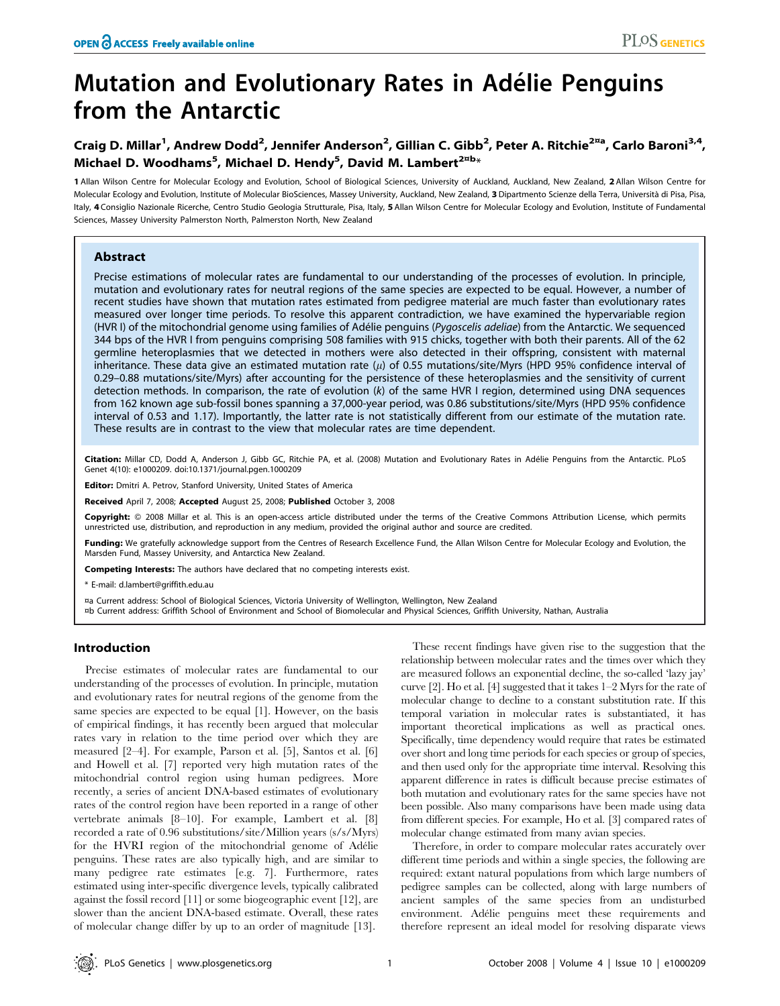# Mutation and Evolutionary Rates in Adélie Penguins from the Antarctic

# Craig D. Millar<sup>1</sup>, Andrew Dodd<sup>2</sup>, Jennifer Anderson<sup>2</sup>, Gillian C. Gibb<sup>2</sup>, Peter A. Ritchie<sup>2¤a</sup>, Carlo Baroni<sup>3,4</sup>, Michael D. Woodhams<sup>5</sup>, Michael D. Hendy<sup>5</sup>, David M. Lambert<sup>2¤b</sup>\*

1 Allan Wilson Centre for Molecular Ecology and Evolution, School of Biological Sciences, University of Auckland, Auckland, New Zealand, 2 Allan Wilson Centre for Molecular Ecology and Evolution, Institute of Molecular BioSciences, Massey University, Auckland, New Zealand, 3 Dipartmento Scienze della Terra, Universita` di Pisa, Pisa, Italy, 4 Consiglio Nazionale Ricerche, Centro Studio Geologia Strutturale, Pisa, Italy, 5 Allan Wilson Centre for Molecular Ecology and Evolution, Institute of Fundamental Sciences, Massey University Palmerston North, Palmerston North, New Zealand

# Abstract

Precise estimations of molecular rates are fundamental to our understanding of the processes of evolution. In principle, mutation and evolutionary rates for neutral regions of the same species are expected to be equal. However, a number of recent studies have shown that mutation rates estimated from pedigree material are much faster than evolutionary rates measured over longer time periods. To resolve this apparent contradiction, we have examined the hypervariable region (HVR I) of the mitochondrial genome using families of Adélie penguins (Pygoscelis adeliae) from the Antarctic. We sequenced 344 bps of the HVR I from penguins comprising 508 families with 915 chicks, together with both their parents. All of the 62 germline heteroplasmies that we detected in mothers were also detected in their offspring, consistent with maternal inheritance. These data give an estimated mutation rate  $(\mu)$  of 0.55 mutations/site/Myrs (HPD 95% confidence interval of 0.29–0.88 mutations/site/Myrs) after accounting for the persistence of these heteroplasmies and the sensitivity of current detection methods. In comparison, the rate of evolution (k) of the same HVR I region, determined using DNA sequences from 162 known age sub-fossil bones spanning a 37,000-year period, was 0.86 substitutions/site/Myrs (HPD 95% confidence interval of 0.53 and 1.17). Importantly, the latter rate is not statistically different from our estimate of the mutation rate. These results are in contrast to the view that molecular rates are time dependent.

Citation: Millar CD, Dodd A, Anderson J, Gibb GC, Ritchie PA, et al. (2008) Mutation and Evolutionary Rates in Adélie Penguins from the Antarctic. PLoS Genet 4(10): e1000209. doi:10.1371/journal.pgen.1000209

Editor: Dmitri A. Petrov, Stanford University, United States of America

Received April 7, 2008; Accepted August 25, 2008; Published October 3, 2008

Copyright: © 2008 Millar et al. This is an open-access article distributed under the terms of the Creative Commons Attribution License, which permits unrestricted use, distribution, and reproduction in any medium, provided the original author and source are credited.

Funding: We gratefully acknowledge support from the Centres of Research Excellence Fund, the Allan Wilson Centre for Molecular Ecology and Evolution, the Marsden Fund, Massey University, and Antarctica New Zealand.

ompeting Interests: The authors have declared that no competing interests exist.

\* E-mail: d.lambert@griffith.edu.au

¤a Current address: School of Biological Sciences, Victoria University of Wellington, Wellington, New Zealand

¤b Current address: Griffith School of Environment and School of Biomolecular and Physical Sciences, Griffith University, Nathan, Australia

# Introduction

Precise estimates of molecular rates are fundamental to our understanding of the processes of evolution. In principle, mutation and evolutionary rates for neutral regions of the genome from the same species are expected to be equal [1]. However, on the basis of empirical findings, it has recently been argued that molecular rates vary in relation to the time period over which they are measured [2–4]. For example, Parson et al. [5], Santos et al. [6] and Howell et al. [7] reported very high mutation rates of the mitochondrial control region using human pedigrees. More recently, a series of ancient DNA-based estimates of evolutionary rates of the control region have been reported in a range of other vertebrate animals [8–10]. For example, Lambert et al. [8] recorded a rate of 0.96 substitutions/site/Million years (s/s/Myrs) for the HVRI region of the mitochondrial genome of Adélie penguins. These rates are also typically high, and are similar to many pedigree rate estimates [e.g. 7]. Furthermore, rates estimated using inter-specific divergence levels, typically calibrated against the fossil record [11] or some biogeographic event [12], are slower than the ancient DNA-based estimate. Overall, these rates of molecular change differ by up to an order of magnitude [13].

These recent findings have given rise to the suggestion that the relationship between molecular rates and the times over which they are measured follows an exponential decline, the so-called 'lazy jay' curve [2]. Ho et al. [4] suggested that it takes 1–2 Myrs for the rate of molecular change to decline to a constant substitution rate. If this temporal variation in molecular rates is substantiated, it has important theoretical implications as well as practical ones. Specifically, time dependency would require that rates be estimated over short and long time periods for each species or group of species, and then used only for the appropriate time interval. Resolving this apparent difference in rates is difficult because precise estimates of both mutation and evolutionary rates for the same species have not been possible. Also many comparisons have been made using data from different species. For example, Ho et al. [3] compared rates of molecular change estimated from many avian species.

Therefore, in order to compare molecular rates accurately over different time periods and within a single species, the following are required: extant natural populations from which large numbers of pedigree samples can be collected, along with large numbers of ancient samples of the same species from an undisturbed environment. Adélie penguins meet these requirements and therefore represent an ideal model for resolving disparate views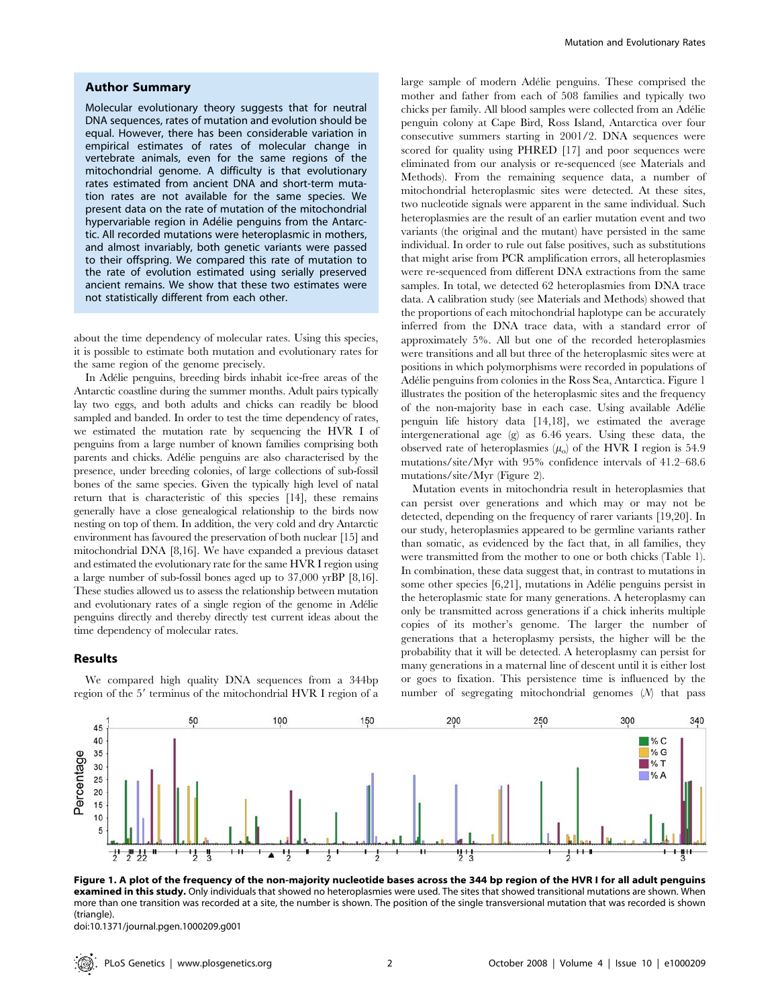#### Author Summary

Molecular evolutionary theory suggests that for neutral DNA sequences, rates of mutation and evolution should be equal. However, there has been considerable variation in empirical estimates of rates of molecular change in vertebrate animals, even for the same regions of the mitochondrial genome. A difficulty is that evolutionary rates estimated from ancient DNA and short-term mutation rates are not available for the same species. We present data on the rate of mutation of the mitochondrial hypervariable region in Adélie penguins from the Antarctic. All recorded mutations were heteroplasmic in mothers, and almost invariably, both genetic variants were passed to their offspring. We compared this rate of mutation to the rate of evolution estimated using serially preserved ancient remains. We show that these two estimates were not statistically different from each other.

about the time dependency of molecular rates. Using this species, it is possible to estimate both mutation and evolutionary rates for the same region of the genome precisely.

In Adélie penguins, breeding birds inhabit ice-free areas of the Antarctic coastline during the summer months. Adult pairs typically lay two eggs, and both adults and chicks can readily be blood sampled and banded. In order to test the time dependency of rates, we estimated the mutation rate by sequencing the HVR I of penguins from a large number of known families comprising both parents and chicks. Adélie penguins are also characterised by the presence, under breeding colonies, of large collections of sub-fossil bones of the same species. Given the typically high level of natal return that is characteristic of this species [14], these remains generally have a close genealogical relationship to the birds now nesting on top of them. In addition, the very cold and dry Antarctic environment has favoured the preservation of both nuclear [15] and mitochondrial DNA [8,16]. We have expanded a previous dataset and estimated the evolutionary rate for the same HVR I region using a large number of sub-fossil bones aged up to 37,000 yrBP [8,16]. These studies allowed us to assess the relationship between mutation and evolutionary rates of a single region of the genome in Adélie penguins directly and thereby directly test current ideas about the time dependency of molecular rates.

# Results

We compared high quality DNA sequences from a 344bp region of the 5' terminus of the mitochondrial HVR I region of a

large sample of modern Adélie penguins. These comprised the mother and father from each of 508 families and typically two chicks per family. All blood samples were collected from an Adélie penguin colony at Cape Bird, Ross Island, Antarctica over four consecutive summers starting in 2001/2. DNA sequences were scored for quality using PHRED [17] and poor sequences were eliminated from our analysis or re-sequenced (see Materials and Methods). From the remaining sequence data, a number of mitochondrial heteroplasmic sites were detected. At these sites, two nucleotide signals were apparent in the same individual. Such heteroplasmies are the result of an earlier mutation event and two variants (the original and the mutant) have persisted in the same individual. In order to rule out false positives, such as substitutions that might arise from PCR amplification errors, all heteroplasmies were re-sequenced from different DNA extractions from the same samples. In total, we detected 62 heteroplasmies from DNA trace data. A calibration study (see Materials and Methods) showed that the proportions of each mitochondrial haplotype can be accurately inferred from the DNA trace data, with a standard error of approximately 5%. All but one of the recorded heteroplasmies were transitions and all but three of the heteroplasmic sites were at positions in which polymorphisms were recorded in populations of Adélie penguins from colonies in the Ross Sea, Antarctica. Figure 1 illustrates the position of the heteroplasmic sites and the frequency of the non-majority base in each case. Using available Adélie penguin life history data [14,18], we estimated the average intergenerational age (g) as 6.46 years. Using these data, the observed rate of heteroplasmies  $(\mu_0)$  of the HVR I region is 54.9 mutations/site/Myr with 95% confidence intervals of 41.2–68.6 mutations/site/Myr (Figure 2).

Mutation events in mitochondria result in heteroplasmies that can persist over generations and which may or may not be detected, depending on the frequency of rarer variants [19,20]. In our study, heteroplasmies appeared to be germline variants rather than somatic, as evidenced by the fact that, in all families, they were transmitted from the mother to one or both chicks (Table 1). In combination, these data suggest that, in contrast to mutations in some other species  $[6,21]$ , mutations in Adélie penguins persist in the heteroplasmic state for many generations. A heteroplasmy can only be transmitted across generations if a chick inherits multiple copies of its mother's genome. The larger the number of generations that a heteroplasmy persists, the higher will be the probability that it will be detected. A heteroplasmy can persist for many generations in a maternal line of descent until it is either lost or goes to fixation. This persistence time is influenced by the number of segregating mitochondrial genomes (N) that pass



Figure 1. A plot of the frequency of the non-majority nucleotide bases across the 344 bp region of the HVR I for all adult penguins examined in this study. Only individuals that showed no heteroplasmies were used. The sites that showed transitional mutations are shown. When more than one transition was recorded at a site, the number is shown. The position of the single transversional mutation that was recorded is shown (triangle).

doi:10.1371/journal.pgen.1000209.g001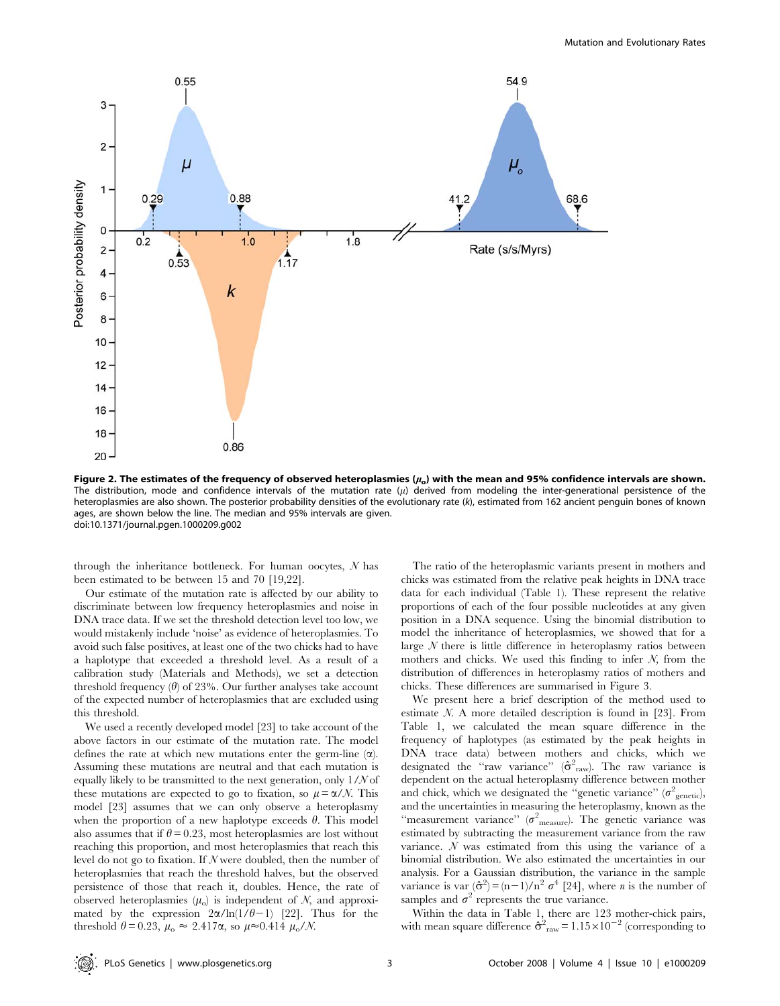

Figure 2. The estimates of the frequency of observed heteroplasmies ( $\mu$ <sub>o</sub>) with the mean and 95% confidence intervals are shown. The distribution, mode and confidence intervals of the mutation rate  $(\mu)$  derived from modeling the inter-generational persistence of the heteroplasmies are also shown. The posterior probability densities of the evolutionary rate (k), estimated from 162 ancient penguin bones of known ages, are shown below the line. The median and 95% intervals are given. doi:10.1371/journal.pgen.1000209.g002

through the inheritance bottleneck. For human oocytes,  $N$  has been estimated to be between 15 and 70 [19,22].

Our estimate of the mutation rate is affected by our ability to discriminate between low frequency heteroplasmies and noise in DNA trace data. If we set the threshold detection level too low, we would mistakenly include 'noise' as evidence of heteroplasmies. To avoid such false positives, at least one of the two chicks had to have a haplotype that exceeded a threshold level. As a result of a calibration study (Materials and Methods), we set a detection threshold frequency  $(\theta)$  of 23%. Our further analyses take account of the expected number of heteroplasmies that are excluded using this threshold.

We used a recently developed model [23] to take account of the above factors in our estimate of the mutation rate. The model defines the rate at which new mutations enter the germ-line  $(\alpha)$ . Assuming these mutations are neutral and that each mutation is equally likely to be transmitted to the next generation, only 1/N of these mutations are expected to go to fixation, so  $\mu = \alpha/N$ . This model [23] assumes that we can only observe a heteroplasmy when the proportion of a new haplotype exceeds  $\theta$ . This model also assumes that if  $\theta = 0.23$ , most heteroplasmies are lost without reaching this proportion, and most heteroplasmies that reach this level do not go to fixation. If  $N$  were doubled, then the number of heteroplasmies that reach the threshold halves, but the observed persistence of those that reach it, doubles. Hence, the rate of observed heteroplasmies  $(\mu_o)$  is independent of N, and approximated by the expression  $2\alpha/\ln(1/\theta-1)$  [22]. Thus for the threshold  $\theta = 0.23$ ,  $\mu_{\rm o} \approx 2.417\alpha$ , so  $\mu \approx 0.414 \mu_{\rm o}/N$ .

The ratio of the heteroplasmic variants present in mothers and chicks was estimated from the relative peak heights in DNA trace data for each individual (Table 1). These represent the relative proportions of each of the four possible nucleotides at any given position in a DNA sequence. Using the binomial distribution to model the inheritance of heteroplasmies, we showed that for a large  $N$  there is little difference in heteroplasmy ratios between mothers and chicks. We used this finding to infer  $N$ , from the distribution of differences in heteroplasmy ratios of mothers and chicks. These differences are summarised in Figure 3.

We present here a brief description of the method used to estimate N. A more detailed description is found in [23]. From Table 1, we calculated the mean square difference in the frequency of haplotypes (as estimated by the peak heights in DNA trace data) between mothers and chicks, which we designated the "raw variance"  $(\hat{\sigma}_{raw}^2)$ . The raw variance is dependent on the actual heteroplasmy difference between mother and chick, which we designated the "genetic variance"  $(\sigma^2_{\text{genetic}})$ and the uncertainties in measuring the heteroplasmy, known as the "measurement variance" ( $\sigma$ <sup>2</sup><sub>measure</sub>). The genetic variance was estimated by subtracting the measurement variance from the raw variance. N was estimated from this using the variance of a binomial distribution. We also estimated the uncertainties in our analysis. For a Gaussian distribution, the variance in the sample variance is var  $(\hat{\sigma}^2) = (n-1)/n^2 \sigma^4$  [24], where *n* is the number of samples and  $\sigma^2$  represents the true variance.

Within the data in Table 1, there are 123 mother-chick pairs, with mean square difference  $\hat{\sigma}_{\text{raw}}^2 = 1.15 \times 10^{-2}$  (corresponding to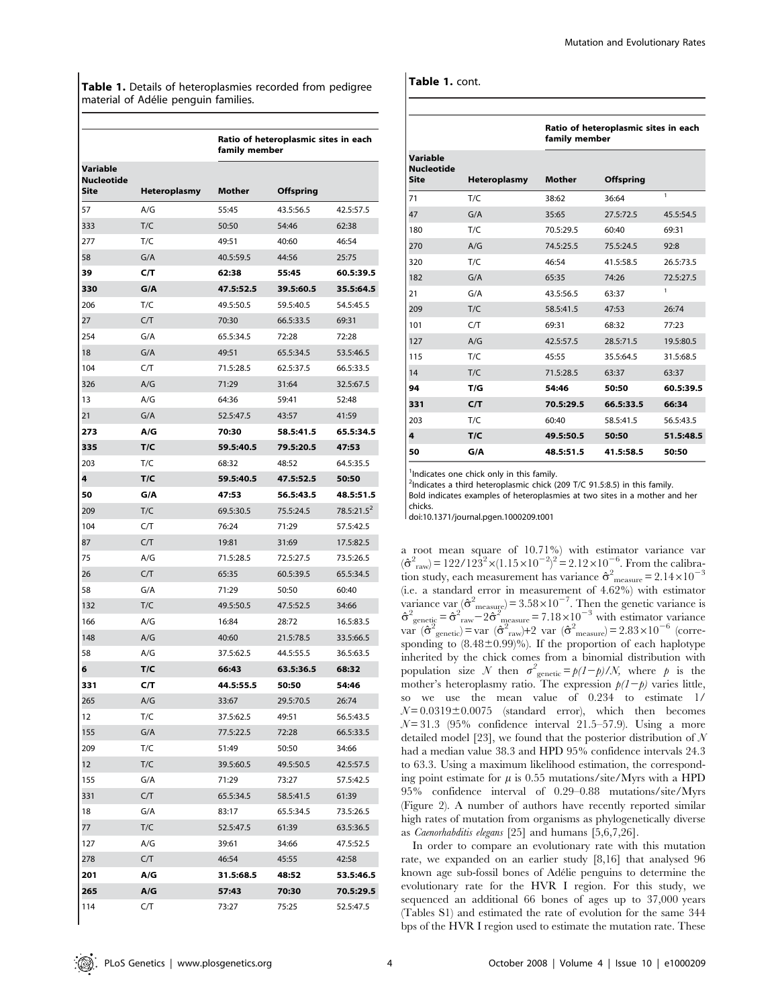Table 1. Details of heteroplasmies recorded from pedigree material of Adélie penguin families.

Ratio of heteroplasmic sites in each

|                                       | Heteroplasmy | family member |                  |                        |
|---------------------------------------|--------------|---------------|------------------|------------------------|
| Variable<br><b>Nucleotide</b><br>Site |              | Mother        | <b>Offspring</b> |                        |
| 57                                    | A/G          | 55:45         | 43.5:56.5        | 42.5:57.5              |
| 333                                   | T/C          | 50:50         | 54:46            | 62:38                  |
| 277                                   | T/C          | 49:51         | 40:60            | 46:54                  |
| 58                                    | G/A          | 40.5:59.5     | 44:56            | 25:75                  |
| 39                                    | C/T          | 62:38         | 55:45            | 60.5:39.5              |
| 330                                   | G/A          | 47.5:52.5     | 39.5:60.5        | 35.5:64.5              |
| 206                                   | T/C          | 49.5:50.5     | 59.5:40.5        | 54.5:45.5              |
| 27                                    | C/T          | 70:30         | 66.5:33.5        | 69:31                  |
| 254                                   | G/A          | 65.5:34.5     | 72:28            | 72:28                  |
| 18                                    | G/A          | 49:51         | 65.5:34.5        | 53.5:46.5              |
| 104                                   | C/T          | 71.5:28.5     | 62.5:37.5        | 66.5:33.5              |
| 326                                   | A/G          | 71:29         | 31:64            | 32.5:67.5              |
| 13                                    | A/G          | 64:36         | 59:41            | 52:48                  |
| 21                                    | G/A          | 52.5:47.5     | 43:57            | 41:59                  |
| 273                                   | A/G          | 70:30         | 58.5:41.5        | 65.5:34.5              |
| 335                                   | T/C          | 59.5:40.5     | 79.5:20.5        | 47:53                  |
| 203                                   | T/C          | 68:32         | 48:52            | 64.5:35.5              |
| 4                                     | T/C          | 59.5:40.5     | 47.5:52.5        | 50:50                  |
| 50                                    | G/A          | 47:53         | 56.5:43.5        | 48.5:51.5              |
| 209                                   | T/C          | 69.5:30.5     | 75.5:24.5        | 78.5:21.5 <sup>2</sup> |
| 104                                   | C/T          | 76:24         | 71:29            | 57.5:42.5              |
| 87                                    | C/T          | 19:81         | 31:69            | 17.5:82.5              |
| 75                                    | A/G          | 71.5:28.5     | 72.5:27.5        | 73.5:26.5              |
| 26                                    | C/T          | 65:35         | 60.5:39.5        | 65.5:34.5              |
| 58                                    | G/A          | 71:29         | 50:50            | 60:40                  |
| 132                                   | T/C          | 49.5:50.5     | 47.5:52.5        | 34:66                  |
| 166                                   | A/G          | 16:84         | 28:72            | 16.5:83.5              |
| 148                                   | A/G          | 40:60         | 21.5:78.5        | 33.5:66.5              |
| 58                                    | A/G          | 37.5:62.5     | 44.5:55.5        | 36.5:63.5              |
| 6                                     | T/C          | 66:43         | 63.5:36.5        | 68:32                  |
| 331                                   | C/T          | 44.5:55.5     | 50:50            | 54:46                  |
| 265                                   | A/G          | 33:67         | 29.5:70.5        | 26:74                  |
| 12                                    | T/C          | 37.5:62.5     | 49:51            | 56.5:43.5              |
| 155                                   | G/A          | 77.5:22.5     | 72:28            | 66.5:33.5              |
| 209                                   | T/C          | 51:49         | 50:50            | 34:66                  |
| 12                                    | T/C          | 39.5:60.5     | 49.5:50.5        | 42.5:57.5              |
| 155                                   | G/A          | 71:29         | 73:27            | 57.5:42.5              |
| 331                                   | C/T          | 65.5:34.5     | 58.5:41.5        | 61:39                  |
| 18                                    | G/A          | 83:17         | 65.5:34.5        | 73.5:26.5              |
| 77                                    | T/C          | 52.5:47.5     | 61:39            | 63.5:36.5              |
| 127                                   | A/G          | 39:61         | 34:66            | 47.5:52.5              |
| 278                                   | C/T          | 46:54         | 45:55            | 42:58                  |
| 201                                   | A/G          | 31.5:68.5     | 48:52            | 53.5:46.5              |
| 265                                   | A/G          | 57:43         | 70:30            | 70.5:29.5              |
| 114                                   | C/T          | 73:27         | 75:25            | 52.5:47.5              |

Table 1. cont.

Ratio of heteroplasmic sites in each family member

| Variable<br><b>Nucleotide</b> |                     |               |                  |              |
|-------------------------------|---------------------|---------------|------------------|--------------|
| Site                          | <b>Heteroplasmy</b> | <b>Mother</b> | <b>Offspring</b> |              |
| 71                            | T/C                 | 38:62         | 36:64            | $\mathbf{1}$ |
| 47                            | G/A                 | 35:65         | 27.5:72.5        | 45.5:54.5    |
| 180                           | T/C                 | 70.5:29.5     | 60:40            | 69:31        |
| 270                           | A/G                 | 74.5:25.5     | 75.5:24.5        | 92:8         |
| 320                           | T/C                 | 46:54         | 41.5:58.5        | 26.5:73.5    |
| 182                           | G/A                 | 65:35         | 74:26            | 72.5:27.5    |
| 21                            | G/A                 | 43.5:56.5     | 63:37            | 1            |
| 209                           | T/C                 | 58.5:41.5     | 47:53            | 26:74        |
| 101                           | C/T                 | 69:31         | 68:32            | 77:23        |
| 127                           | A/G                 | 42.5:57.5     | 28.5:71.5        | 19.5:80.5    |
| 115                           | T/C                 | 45:55         | 35.5:64.5        | 31.5:68.5    |
| 14                            | T/C                 | 71.5:28.5     | 63:37            | 63:37        |
| 94                            | T/G                 | 54:46         | 50:50            | 60.5:39.5    |
| 331                           | C/T                 | 70.5:29.5     | 66.5:33.5        | 66:34        |
| 203                           | T/C                 | 60:40         | 58.5:41.5        | 56.5:43.5    |
| 4                             | T/C                 | 49.5:50.5     | 50:50            | 51.5:48.5    |
| 50                            | G/A                 | 48.5:51.5     | 41.5:58.5        | 50:50        |

<sup>1</sup>Indicates one chick only in this family.

<sup>2</sup>Indicates a third heteroplasmic chick (209 T/C 91.5:8.5) in this family. Bold indicates examples of heteroplasmies at two sites in a mother and her chicks.

doi:10.1371/journal.pgen.1000209.t001

a root mean square of 10.71%) with estimator variance var  $\left(\hat{\sigma}_{\text{raw}}^2\right) = 122/12\hat{3}^2 \times (1.15 \times 10^{-2})^2 = 2.12 \times 10^{-6}$ . From the calibration study, each measurement has variance  $\hat{\sigma}^2$ <sub>measure</sub> = 2.14×10<sup>-3</sup> (i.e. a standard error in measurement of 4.62%) with estimator variance var  $\langle \hat{\sigma}^2_{\text{measure}} \rangle = 3.58 \times 10^{-7}$ . Then the genetic variance is  $\hat{\sigma}_{\text{genetic}}^2 = \hat{\sigma}_{\text{raw}}^2 - 2\hat{\sigma}_{\text{measure}}^2 = 7.18 \times 10^{-3}$  with estimator variance var  $\left(\hat{\sigma}_{\text{genetic}}^2\right)$  = var  $\left(\hat{\sigma}_{\text{raw}}^2\right)$ +2 var  $\left(\hat{\sigma}_{\text{measure}}^2\right)$  = 2.83×10<sup>-6</sup> (corresponding to  $(8.48\pm0.99)\%$ ). If the proportion of each haplotype inherited by the chick comes from a binomial distribution with population size N then  $\sigma_{\text{genetic}}^2 = p(1-p)/N$ , where p is the mother's heteroplasmy ratio. The expression  $p(1-p)$  varies little, so we use the mean value of 0.234 to estimate 1/  $N = 0.0319 \pm 0.0075$  (standard error), which then becomes  $N = 31.3$  (95% confidence interval 21.5–57.9). Using a more detailed model [23], we found that the posterior distribution of  $N$ had a median value 38.3 and HPD 95% confidence intervals 24.3 to 63.3. Using a maximum likelihood estimation, the corresponding point estimate for  $\mu$  is 0.55 mutations/site/Myrs with a HPD 95% confidence interval of 0.29–0.88 mutations/site/Myrs (Figure 2). A number of authors have recently reported similar high rates of mutation from organisms as phylogenetically diverse as Caenorhabditis elegans [25] and humans [5,6,7,26].

In order to compare an evolutionary rate with this mutation rate, we expanded on an earlier study [8,16] that analysed 96 known age sub-fossil bones of Adélie penguins to determine the evolutionary rate for the HVR I region. For this study, we sequenced an additional 66 bones of ages up to 37,000 years (Tables S1) and estimated the rate of evolution for the same 344 bps of the HVR I region used to estimate the mutation rate. These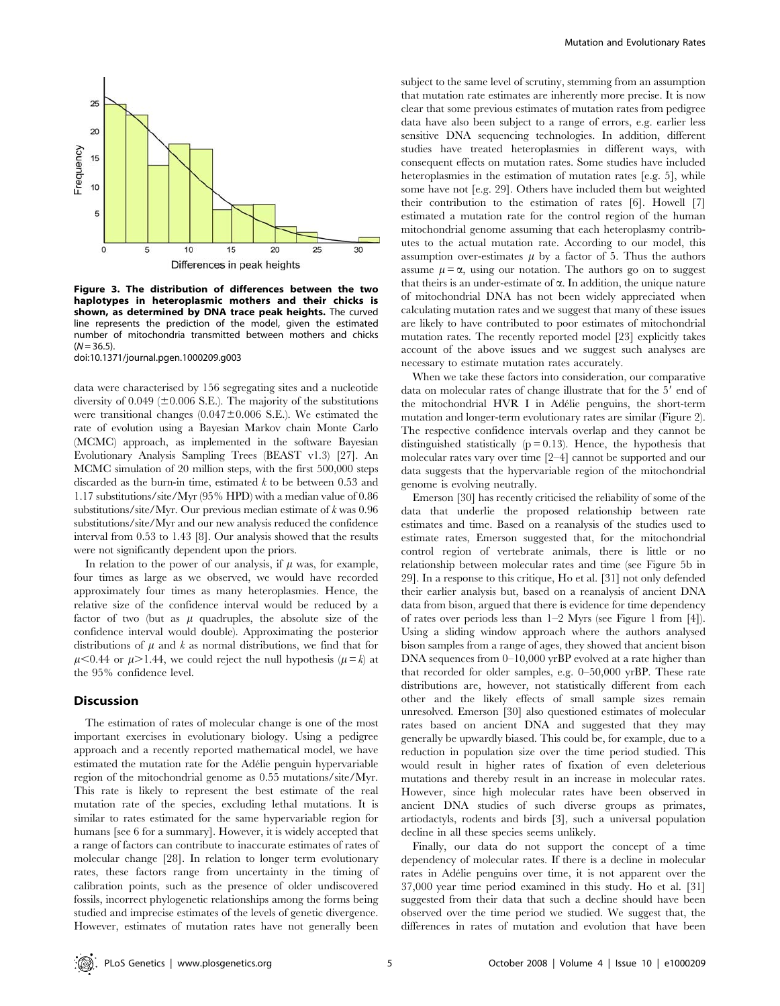

Figure 3. The distribution of differences between the two haplotypes in heteroplasmic mothers and their chicks is shown, as determined by DNA trace peak heights. The curved line represents the prediction of the model, given the estimated number of mitochondria transmitted between mothers and chicks  $(N = 36.5)$ 

doi:10.1371/journal.pgen.1000209.g003

data were characterised by 156 segregating sites and a nucleotide diversity of 0.049 ( $\pm$ 0.006 S.E.). The majority of the substitutions were transitional changes  $(0.047 \pm 0.006 \text{ S.E.})$ . We estimated the rate of evolution using a Bayesian Markov chain Monte Carlo (MCMC) approach, as implemented in the software Bayesian Evolutionary Analysis Sampling Trees (BEAST v1.3) [27]. An MCMC simulation of 20 million steps, with the first 500,000 steps discarded as the burn-in time, estimated  $k$  to be between 0.53 and 1.17 substitutions/site/Myr (95% HPD) with a median value of 0.86 substitutions/site/Myr. Our previous median estimate of k was 0.96 substitutions/site/Myr and our new analysis reduced the confidence interval from 0.53 to 1.43 [8]. Our analysis showed that the results were not significantly dependent upon the priors.

In relation to the power of our analysis, if  $\mu$  was, for example, four times as large as we observed, we would have recorded approximately four times as many heteroplasmies. Hence, the relative size of the confidence interval would be reduced by a factor of two (but as  $\mu$  quadruples, the absolute size of the confidence interval would double). Approximating the posterior distributions of  $\mu$  and k as normal distributions, we find that for  $\mu$ <0.44 or  $\mu$ >1.44, we could reject the null hypothesis ( $\mu$  = k) at the 95% confidence level.

# **Discussion**

The estimation of rates of molecular change is one of the most important exercises in evolutionary biology. Using a pedigree approach and a recently reported mathematical model, we have estimated the mutation rate for the Adélie penguin hypervariable region of the mitochondrial genome as 0.55 mutations/site/Myr. This rate is likely to represent the best estimate of the real mutation rate of the species, excluding lethal mutations. It is similar to rates estimated for the same hypervariable region for humans [see 6 for a summary]. However, it is widely accepted that a range of factors can contribute to inaccurate estimates of rates of molecular change [28]. In relation to longer term evolutionary rates, these factors range from uncertainty in the timing of calibration points, such as the presence of older undiscovered fossils, incorrect phylogenetic relationships among the forms being studied and imprecise estimates of the levels of genetic divergence. However, estimates of mutation rates have not generally been subject to the same level of scrutiny, stemming from an assumption that mutation rate estimates are inherently more precise. It is now clear that some previous estimates of mutation rates from pedigree data have also been subject to a range of errors, e.g. earlier less sensitive DNA sequencing technologies. In addition, different studies have treated heteroplasmies in different ways, with consequent effects on mutation rates. Some studies have included heteroplasmies in the estimation of mutation rates [e.g. 5], while some have not [e.g. 29]. Others have included them but weighted their contribution to the estimation of rates [6]. Howell [7] estimated a mutation rate for the control region of the human mitochondrial genome assuming that each heteroplasmy contributes to the actual mutation rate. According to our model, this assumption over-estimates  $\mu$  by a factor of 5. Thus the authors assume  $\mu = \alpha$ , using our notation. The authors go on to suggest that theirs is an under-estimate of  $\alpha$ . In addition, the unique nature of mitochondrial DNA has not been widely appreciated when calculating mutation rates and we suggest that many of these issues are likely to have contributed to poor estimates of mitochondrial mutation rates. The recently reported model [23] explicitly takes account of the above issues and we suggest such analyses are necessary to estimate mutation rates accurately.

When we take these factors into consideration, our comparative data on molecular rates of change illustrate that for the 5' end of the mitochondrial HVR I in Adélie penguins, the short-term mutation and longer-term evolutionary rates are similar (Figure 2). The respective confidence intervals overlap and they cannot be distinguished statistically  $(p = 0.13)$ . Hence, the hypothesis that molecular rates vary over time [2–4] cannot be supported and our data suggests that the hypervariable region of the mitochondrial genome is evolving neutrally.

Emerson [30] has recently criticised the reliability of some of the data that underlie the proposed relationship between rate estimates and time. Based on a reanalysis of the studies used to estimate rates, Emerson suggested that, for the mitochondrial control region of vertebrate animals, there is little or no relationship between molecular rates and time (see Figure 5b in 29]. In a response to this critique, Ho et al. [31] not only defended their earlier analysis but, based on a reanalysis of ancient DNA data from bison, argued that there is evidence for time dependency of rates over periods less than 1–2 Myrs (see Figure 1 from [4]). Using a sliding window approach where the authors analysed bison samples from a range of ages, they showed that ancient bison DNA sequences from 0–10,000 yrBP evolved at a rate higher than that recorded for older samples, e.g. 0–50,000 yrBP. These rate distributions are, however, not statistically different from each other and the likely effects of small sample sizes remain unresolved. Emerson [30] also questioned estimates of molecular rates based on ancient DNA and suggested that they may generally be upwardly biased. This could be, for example, due to a reduction in population size over the time period studied. This would result in higher rates of fixation of even deleterious mutations and thereby result in an increase in molecular rates. However, since high molecular rates have been observed in ancient DNA studies of such diverse groups as primates, artiodactyls, rodents and birds [3], such a universal population decline in all these species seems unlikely.

Finally, our data do not support the concept of a time dependency of molecular rates. If there is a decline in molecular rates in Adélie penguins over time, it is not apparent over the 37,000 year time period examined in this study. Ho et al. [31] suggested from their data that such a decline should have been observed over the time period we studied. We suggest that, the differences in rates of mutation and evolution that have been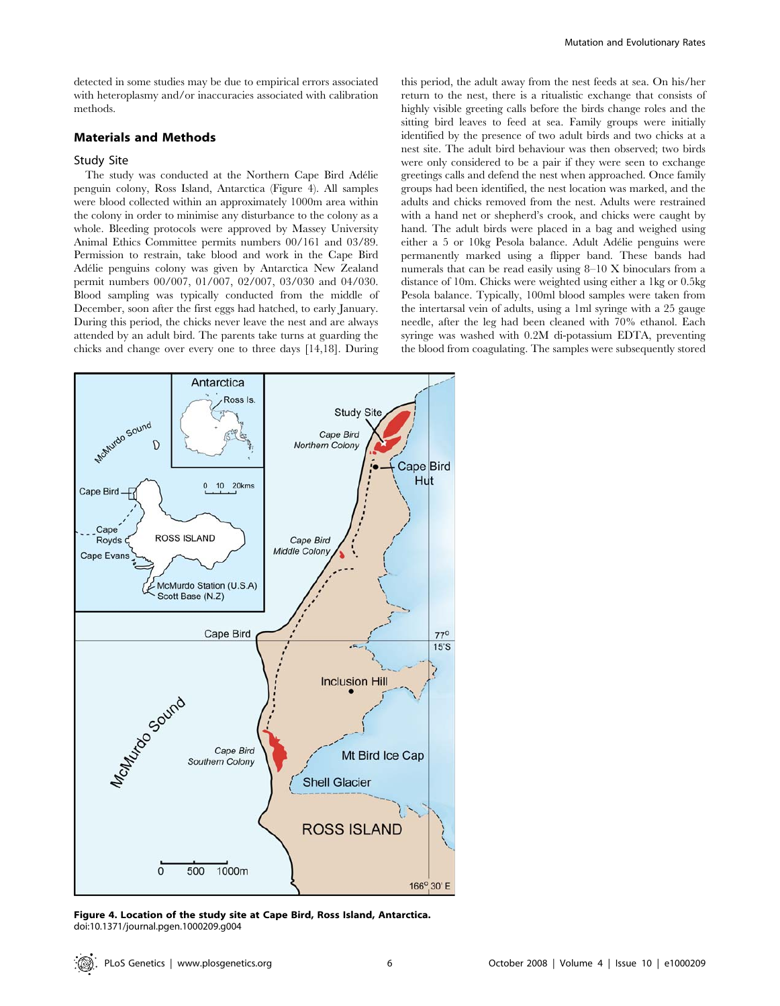detected in some studies may be due to empirical errors associated with heteroplasmy and/or inaccuracies associated with calibration methods.

# Materials and Methods

#### Study Site

The study was conducted at the Northern Cape Bird Adélie penguin colony, Ross Island, Antarctica (Figure 4). All samples were blood collected within an approximately 1000m area within the colony in order to minimise any disturbance to the colony as a whole. Bleeding protocols were approved by Massey University Animal Ethics Committee permits numbers 00/161 and 03/89. Permission to restrain, take blood and work in the Cape Bird Adélie penguins colony was given by Antarctica New Zealand permit numbers 00/007, 01/007, 02/007, 03/030 and 04/030. Blood sampling was typically conducted from the middle of December, soon after the first eggs had hatched, to early January. During this period, the chicks never leave the nest and are always attended by an adult bird. The parents take turns at guarding the chicks and change over every one to three days [14,18]. During

Mutation and Evolutionary Rates

this period, the adult away from the nest feeds at sea. On his/her return to the nest, there is a ritualistic exchange that consists of highly visible greeting calls before the birds change roles and the sitting bird leaves to feed at sea. Family groups were initially identified by the presence of two adult birds and two chicks at a nest site. The adult bird behaviour was then observed; two birds were only considered to be a pair if they were seen to exchange greetings calls and defend the nest when approached. Once family groups had been identified, the nest location was marked, and the adults and chicks removed from the nest. Adults were restrained with a hand net or shepherd's crook, and chicks were caught by hand. The adult birds were placed in a bag and weighed using either a 5 or 10kg Pesola balance. Adult Adélie penguins were permanently marked using a flipper band. These bands had numerals that can be read easily using 8–10 X binoculars from a distance of 10m. Chicks were weighted using either a 1kg or 0.5kg Pesola balance. Typically, 100ml blood samples were taken from the intertarsal vein of adults, using a 1ml syringe with a 25 gauge needle, after the leg had been cleaned with 70% ethanol. Each syringe was washed with 0.2M di-potassium EDTA, preventing the blood from coagulating. The samples were subsequently stored



Figure 4. Location of the study site at Cape Bird, Ross Island, Antarctica. doi:10.1371/journal.pgen.1000209.g004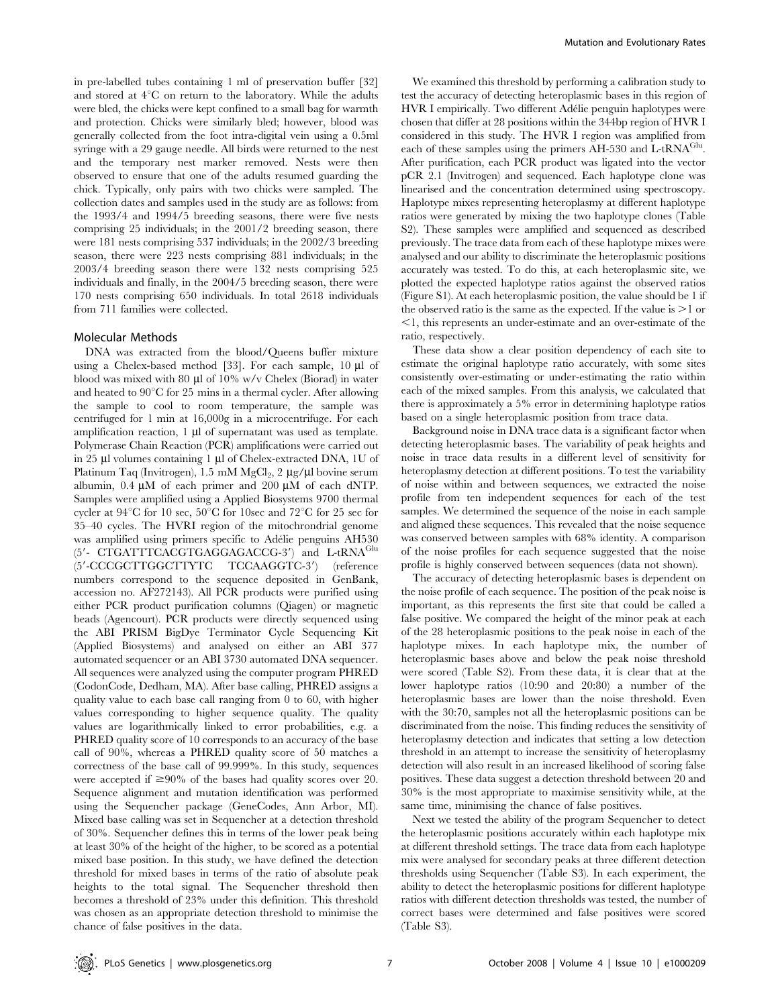in pre-labelled tubes containing 1 ml of preservation buffer [32] and stored at  $4^{\circ}$ C on return to the laboratory. While the adults were bled, the chicks were kept confined to a small bag for warmth and protection. Chicks were similarly bled; however, blood was generally collected from the foot intra-digital vein using a 0.5ml syringe with a 29 gauge needle. All birds were returned to the nest and the temporary nest marker removed. Nests were then observed to ensure that one of the adults resumed guarding the chick. Typically, only pairs with two chicks were sampled. The collection dates and samples used in the study are as follows: from the 1993/4 and 1994/5 breeding seasons, there were five nests comprising 25 individuals; in the 2001/2 breeding season, there were 181 nests comprising 537 individuals; in the 2002/3 breeding season, there were 223 nests comprising 881 individuals; in the 2003/4 breeding season there were 132 nests comprising 525 individuals and finally, in the 2004/5 breeding season, there were 170 nests comprising 650 individuals. In total 2618 individuals from 711 families were collected.

### Molecular Methods

DNA was extracted from the blood/Queens buffer mixture using a Chelex-based method [33]. For each sample, 10 µl of blood was mixed with 80  $\mu$ l of 10% w/v Chelex (Biorad) in water and heated to  $90^{\circ}$ C for 25 mins in a thermal cycler. After allowing the sample to cool to room temperature, the sample was centrifuged for 1 min at 16,000g in a microcentrifuge. For each amplification reaction,  $1 \mu$  of supernatant was used as template. Polymerase Chain Reaction (PCR) amplifications were carried out in 25 µl volumes containing 1 µl of Chelex-extracted DNA, 1U of Platinum Taq (Invitrogen), 1.5 mM MgCl<sub>2</sub>, 2  $\mu$ g/ $\mu$ l bovine serum albumin,  $0.4 \mu M$  of each primer and  $200 \mu M$  of each dNTP. Samples were amplified using a Applied Biosystems 9700 thermal cycler at  $94^{\circ}$ C for 10 sec,  $50^{\circ}$ C for 10sec and  $72^{\circ}$ C for 25 sec for 35–40 cycles. The HVRI region of the mitochrondrial genome was amplified using primers specific to Adélie penguins AH530 (5'- CTGATTTCACGTGAGGAGACCG-3') and L-tRNA<sup>Glu</sup> (5'-CCCGCTTGGCTTYTC TCCAAGGTC-3') (reference numbers correspond to the sequence deposited in GenBank, accession no. AF272143). All PCR products were purified using either PCR product purification columns (Qiagen) or magnetic beads (Agencourt). PCR products were directly sequenced using the ABI PRISM BigDye Terminator Cycle Sequencing Kit (Applied Biosystems) and analysed on either an ABI 377 automated sequencer or an ABI 3730 automated DNA sequencer. All sequences were analyzed using the computer program PHRED (CodonCode, Dedham, MA). After base calling, PHRED assigns a quality value to each base call ranging from 0 to 60, with higher values corresponding to higher sequence quality. The quality values are logarithmically linked to error probabilities, e.g. a PHRED quality score of 10 corresponds to an accuracy of the base call of 90%, whereas a PHRED quality score of 50 matches a correctness of the base call of 99.999%. In this study, sequences were accepted if  $\geq 90\%$  of the bases had quality scores over 20. Sequence alignment and mutation identification was performed using the Sequencher package (GeneCodes, Ann Arbor, MI). Mixed base calling was set in Sequencher at a detection threshold of 30%. Sequencher defines this in terms of the lower peak being at least 30% of the height of the higher, to be scored as a potential mixed base position. In this study, we have defined the detection threshold for mixed bases in terms of the ratio of absolute peak heights to the total signal. The Sequencher threshold then becomes a threshold of 23% under this definition. This threshold was chosen as an appropriate detection threshold to minimise the chance of false positives in the data.

We examined this threshold by performing a calibration study to test the accuracy of detecting heteroplasmic bases in this region of HVR I empirically. Two different Adélie penguin haplotypes were chosen that differ at 28 positions within the 344bp region of HVR I considered in this study. The HVR I region was amplified from each of these samples using the primers AH-530 and L-tRNA<sup>Glu</sup>. After purification, each PCR product was ligated into the vector pCR 2.1 (Invitrogen) and sequenced. Each haplotype clone was linearised and the concentration determined using spectroscopy. Haplotype mixes representing heteroplasmy at different haplotype ratios were generated by mixing the two haplotype clones (Table S2). These samples were amplified and sequenced as described previously. The trace data from each of these haplotype mixes were analysed and our ability to discriminate the heteroplasmic positions accurately was tested. To do this, at each heteroplasmic site, we plotted the expected haplotype ratios against the observed ratios (Figure S1). At each heteroplasmic position, the value should be 1 if the observed ratio is the same as the expected. If the value is  $>1$  or  $\leq$ 1, this represents an under-estimate and an over-estimate of the ratio, respectively.

These data show a clear position dependency of each site to estimate the original haplotype ratio accurately, with some sites consistently over-estimating or under-estimating the ratio within each of the mixed samples. From this analysis, we calculated that there is approximately a 5% error in determining haplotype ratios based on a single heteroplasmic position from trace data.

Background noise in DNA trace data is a significant factor when detecting heteroplasmic bases. The variability of peak heights and noise in trace data results in a different level of sensitivity for heteroplasmy detection at different positions. To test the variability of noise within and between sequences, we extracted the noise profile from ten independent sequences for each of the test samples. We determined the sequence of the noise in each sample and aligned these sequences. This revealed that the noise sequence was conserved between samples with 68% identity. A comparison of the noise profiles for each sequence suggested that the noise profile is highly conserved between sequences (data not shown).

The accuracy of detecting heteroplasmic bases is dependent on the noise profile of each sequence. The position of the peak noise is important, as this represents the first site that could be called a false positive. We compared the height of the minor peak at each of the 28 heteroplasmic positions to the peak noise in each of the haplotype mixes. In each haplotype mix, the number of heteroplasmic bases above and below the peak noise threshold were scored (Table S2). From these data, it is clear that at the lower haplotype ratios (10:90 and 20:80) a number of the heteroplasmic bases are lower than the noise threshold. Even with the 30:70, samples not all the heteroplasmic positions can be discriminated from the noise. This finding reduces the sensitivity of heteroplasmy detection and indicates that setting a low detection threshold in an attempt to increase the sensitivity of heteroplasmy detection will also result in an increased likelihood of scoring false positives. These data suggest a detection threshold between 20 and 30% is the most appropriate to maximise sensitivity while, at the same time, minimising the chance of false positives.

Next we tested the ability of the program Sequencher to detect the heteroplasmic positions accurately within each haplotype mix at different threshold settings. The trace data from each haplotype mix were analysed for secondary peaks at three different detection thresholds using Sequencher (Table S3). In each experiment, the ability to detect the heteroplasmic positions for different haplotype ratios with different detection thresholds was tested, the number of correct bases were determined and false positives were scored (Table S3).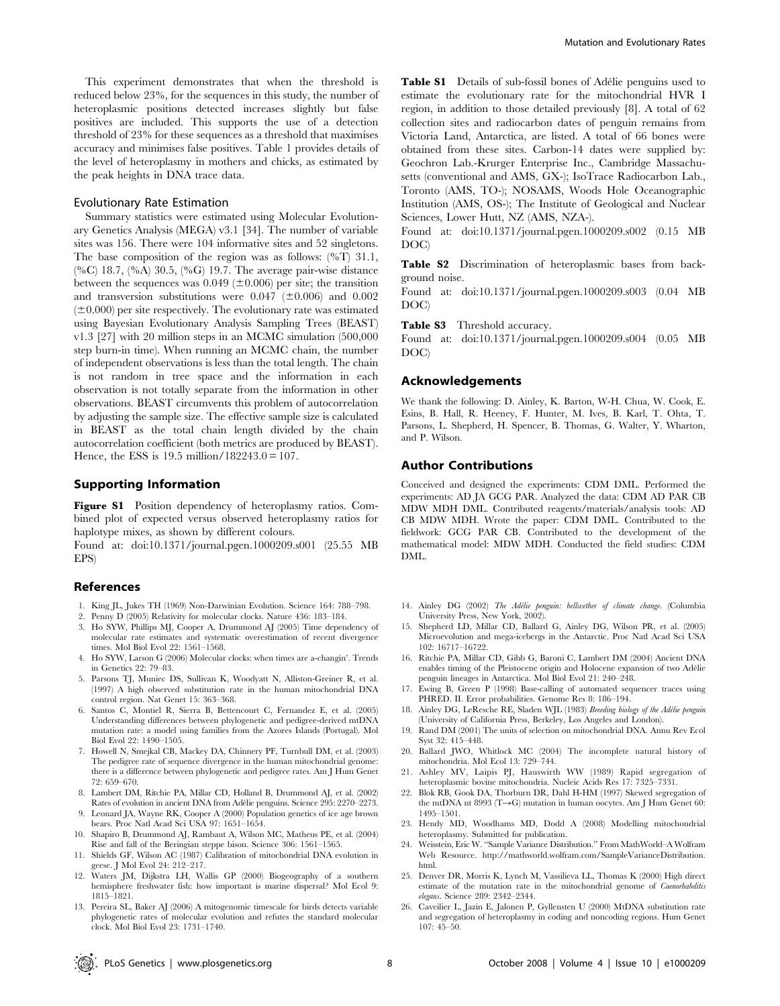This experiment demonstrates that when the threshold is reduced below 23%, for the sequences in this study, the number of heteroplasmic positions detected increases slightly but false positives are included. This supports the use of a detection threshold of 23% for these sequences as a threshold that maximises accuracy and minimises false positives. Table 1 provides details of the level of heteroplasmy in mothers and chicks, as estimated by the peak heights in DNA trace data.

#### Evolutionary Rate Estimation

Summary statistics were estimated using Molecular Evolutionary Genetics Analysis (MEGA) v3.1 [34]. The number of variable sites was 156. There were 104 informative sites and 52 singletons. The base composition of the region was as follows: (%T) 31.1, (%C) 18.7, (%A) 30.5, (%G) 19.7. The average pair-wise distance between the sequences was  $0.049 \ (\pm 0.006)$  per site; the transition and transversion substitutions were  $0.047$  ( $\pm 0.006$ ) and  $0.002$  $(±0.000)$  per site respectively. The evolutionary rate was estimated using Bayesian Evolutionary Analysis Sampling Trees (BEAST) v1.3 [27] with 20 million steps in an MCMC simulation (500,000 step burn-in time). When running an MCMC chain, the number of independent observations is less than the total length. The chain is not random in tree space and the information in each observation is not totally separate from the information in other observations. BEAST circumvents this problem of autocorrelation by adjusting the sample size. The effective sample size is calculated in BEAST as the total chain length divided by the chain autocorrelation coefficient (both metrics are produced by BEAST). Hence, the ESS is 19.5 million/182243.0 = 107.

#### Supporting Information

Figure S1 Position dependency of heteroplasmy ratios. Combined plot of expected versus observed heteroplasmy ratios for haplotype mixes, as shown by different colours.

Found at: doi:10.1371/journal.pgen.1000209.s001 (25.55 MB EPS)

#### References

- 1. King JL, Jukes TH (1969) Non-Darwinian Evolution. Science 164: 788–798.
- 2. Penny D (2005) Relativity for molecular clocks. Nature 436: 183–184.
- 3. Ho SYW, Phillips MJ, Cooper A, Drummond AJ (2005) Time dependency of molecular rate estimates and systematic overestimation of recent divergence times. Mol Biol Evol 22: 1561–1568.
- 4. Ho SYW, Larson G (2006) Molecular clocks: when times are a-changin'. Trends in Genetics 22: 79–83.
- 5. Parsons TJ, Muniec DS, Sullivan K, Woodyatt N, Alliston-Greiner R, et al. (1997) A high observed substitution rate in the human mitochondrial DNA control region. Nat Genet 15: 363–368.
- Santos C, Montiel R, Sierra B, Bettencourt C, Fernandez E, et al. (2005) Understanding differences between phylogenetic and pedigree-derived mtDNA mutation rate: a model using families from the Azores Islands (Portugal). Mol Biol Evol 22: 1490–1505.
- 7. Howell N, Smejkal CB, Mackey DA, Chinnery PF, Turnbull DM, et al. (2003) The pedigree rate of sequence divergence in the human mitochondrial genome: there is a difference between phylogenetic and pedigree rates. Am J Hum Genet 72: 659–670.
- 8. Lambert DM, Ritchie PA, Millar CD, Holland B, Drummond AJ, et al. (2002) Rates of evolution in ancient DNA from Adélie penguins. Science 295: 2270–2273.
- 9. Leonard JA, Wayne RK, Cooper A (2000) Population genetics of ice age brown bears. Proc Natl Acad Sci USA 97: 1651–1654.
- 10. Shapiro B, Drummond AJ, Rambaut A, Wilson MC, Matheus PE, et al. (2004) Rise and fall of the Beringian steppe bison. Science 306: 1561–1565.
- 11. Shields GF, Wilson AC (1987) Calibration of mitochondrial DNA evolution in geese. J Mol Evol 24: 212–217.
- 12. Waters JM, Dijkstra LH, Wallis GP (2000) Biogeography of a southern hemisphere freshwater fish: how important is marine dispersal? Mol Ecol 9: 1815–1821.
- 13. Pereira SL, Baker AJ (2006) A mitogenomic timescale for birds detects variable phylogenetic rates of molecular evolution and refutes the standard molecular clock. Mol Biol Evol 23: 1731–1740.

Table S1 Details of sub-fossil bones of Adélie penguins used to estimate the evolutionary rate for the mitochondrial HVR I region, in addition to those detailed previously [8]. A total of 62 collection sites and radiocarbon dates of penguin remains from Victoria Land, Antarctica, are listed. A total of 66 bones were obtained from these sites. Carbon-14 dates were supplied by: Geochron Lab.-Krurger Enterprise Inc., Cambridge Massachusetts (conventional and AMS, GX-); IsoTrace Radiocarbon Lab., Toronto (AMS, TO-); NOSAMS, Woods Hole Oceanographic Institution (AMS, OS-); The Institute of Geological and Nuclear Sciences, Lower Hutt, NZ (AMS, NZA-).

Found at: doi:10.1371/journal.pgen.1000209.s002 (0.15 MB DOC)

Table S2 Discrimination of heteroplasmic bases from background noise.

Found at: doi:10.1371/journal.pgen.1000209.s003 (0.04 MB DOC)

Table S3 Threshold accuracy.

Found at: doi:10.1371/journal.pgen.1000209.s004 (0.05 MB DOC)

#### Acknowledgements

We thank the following: D. Ainley, K. Barton, W-H. Chua, W. Cook, E. Esins, B. Hall, R. Heeney, F. Hunter, M. Ives, B. Karl, T. Ohta, T. Parsons, L. Shepherd, H. Spencer, B. Thomas, G. Walter, Y. Wharton, and P. Wilson.

## Author Contributions

Conceived and designed the experiments: CDM DML. Performed the experiments: AD JA GCG PAR. Analyzed the data: CDM AD PAR CB MDW MDH DML. Contributed reagents/materials/analysis tools: AD CB MDW MDH. Wrote the paper: CDM DML. Contributed to the fieldwork: GCG PAR CB. Contributed to the development of the mathematical model: MDW MDH. Conducted the field studies: CDM DML.

- 14. Ainley DG (2002) The Adélie penguin: bellwether of climate change. (Columbia University Press, New York, 2002).
- 15. Shepherd LD, Millar CD, Ballard G, Ainley DG, Wilson PR, et al. (2005) Microevolution and mega-icebergs in the Antarctic. Proc Natl Acad Sci USA 102: 16717–16722.
- 16. Ritchie PA, Millar CD, Gibb G, Baroni C, Lambert DM (2004) Ancient DNA enables timing of the Pleistocene origin and Holocene expansion of two Adélie penguin lineages in Antarctica. Mol Biol Evol 21: 240–248.
- 17. Ewing B, Green P (1998) Base-calling of automated sequencer traces using PHRED. II. Error probabilities. Genome Res 8: 186–194.
- 18. Ainley DG, LeResche RE, Sladen WJL (1983) Breeding biology of the Adélie penguin (University of California Press, Berkeley, Los Angeles and London).
- Rand DM (2001) The units of selection on mitochondrial DNA. Annu Rev Ecol Syst 32: 415–448.
- 20. Ballard JWO, Whitlock MC (2004) The incomplete natural history of mitochondria. Mol Ecol 13: 729–744.
- 21. Ashley MV, Laipis PJ, Hauswirth WW (1989) Rapid segregation of heteroplasmic bovine mitochondria. Nucleic Acids Res 17: 7325–7331.
- 22. Blok RB, Gook DA, Thorburn DR, Dahl H-HM (1997) Skewed segregation of the mtDNA nt 8993 (T->G) mutation in human oocytes. Am J Hum Genet 60: 1495–1501.
- 23. Hendy MD, Woodhams MD, Dodd A (2008) Modelling mitochondrial heteroplasmy. Submitted for publication.
- 24. Weisstein, Eric W. ''Sample Variance Distribution.'' From MathWorld–A Wolfram Web Resource. http://mathworld.wolfram.com/SampleVarianceDistribution. html.
- 25. Denver DR, Morris K, Lynch M, Vassilieva LL, Thomas K (2000) High direct estimate of the mutation rate in the mitochondrial genome of Caenorhabditis elegans. Science 289: 2342–2344.
- 26. Caveilier L, Jazin E, Jalonen P, Gyllensten U (2000) MtDNA substitution rate and segregation of heteroplasmy in coding and noncoding regions. Hum Genet 107: 45–50.